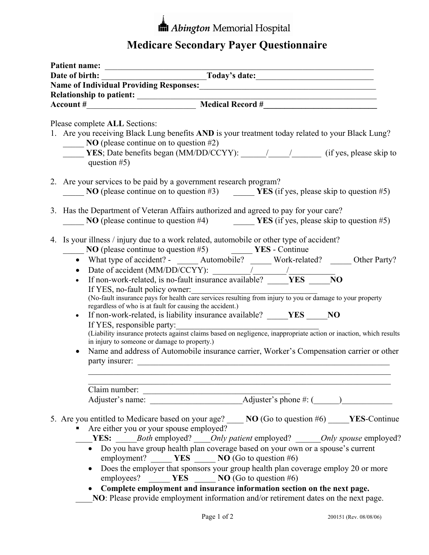## **In Abington Memorial Hospital**

## **Medicare Secondary Payer Questionnaire**

|  | Patient name:<br>Date of birth: Today's date:                                                                                                                                                                                                                                                                                                                                                                                                                                                                                                                                                                                                                                                                                                                                                                                                                                                                                                                      |  |  |  |  |  |  |
|--|--------------------------------------------------------------------------------------------------------------------------------------------------------------------------------------------------------------------------------------------------------------------------------------------------------------------------------------------------------------------------------------------------------------------------------------------------------------------------------------------------------------------------------------------------------------------------------------------------------------------------------------------------------------------------------------------------------------------------------------------------------------------------------------------------------------------------------------------------------------------------------------------------------------------------------------------------------------------|--|--|--|--|--|--|
|  |                                                                                                                                                                                                                                                                                                                                                                                                                                                                                                                                                                                                                                                                                                                                                                                                                                                                                                                                                                    |  |  |  |  |  |  |
|  |                                                                                                                                                                                                                                                                                                                                                                                                                                                                                                                                                                                                                                                                                                                                                                                                                                                                                                                                                                    |  |  |  |  |  |  |
|  |                                                                                                                                                                                                                                                                                                                                                                                                                                                                                                                                                                                                                                                                                                                                                                                                                                                                                                                                                                    |  |  |  |  |  |  |
|  |                                                                                                                                                                                                                                                                                                                                                                                                                                                                                                                                                                                                                                                                                                                                                                                                                                                                                                                                                                    |  |  |  |  |  |  |
|  | Please complete ALL Sections:                                                                                                                                                                                                                                                                                                                                                                                                                                                                                                                                                                                                                                                                                                                                                                                                                                                                                                                                      |  |  |  |  |  |  |
|  | 1. Are you receiving Black Lung benefits AND is your treatment today related to your Black Lung?<br>$\sim$ NO (please continue on to question #2)<br>question $#5$ )                                                                                                                                                                                                                                                                                                                                                                                                                                                                                                                                                                                                                                                                                                                                                                                               |  |  |  |  |  |  |
|  | 2. Are your services to be paid by a government research program?                                                                                                                                                                                                                                                                                                                                                                                                                                                                                                                                                                                                                                                                                                                                                                                                                                                                                                  |  |  |  |  |  |  |
|  | <b>NO</b> (please continue on to question #3) $\qquad \qquad \mathbf{YES}$ (if yes, please skip to question #5)                                                                                                                                                                                                                                                                                                                                                                                                                                                                                                                                                                                                                                                                                                                                                                                                                                                    |  |  |  |  |  |  |
|  | 3. Has the Department of Veteran Affairs authorized and agreed to pay for your care?<br>NO (please continue to question #4) $\qquad \qquad \qquad \text{YES (if yes, please skip to question #5)}$                                                                                                                                                                                                                                                                                                                                                                                                                                                                                                                                                                                                                                                                                                                                                                 |  |  |  |  |  |  |
|  | 4. Is your illness / injury due to a work related, automobile or other type of accident?<br>$\sim$ NO (please continue to question #5) $\sim$ YES - Continue<br>• What type of accident? $\frac{1}{\cdot}$ Automobile? Work-related? _______ Other Party?<br>$\bullet$<br>If non-work-related, is no-fault insurance available? ____YES ____NO<br>If YES, no-fault policy owner:<br>(No-fault insurance pays for health care services resulting from injury to you or damage to your property<br>regardless of who is at fault for causing the accident.)<br>If non-work-related, is liability insurance available? _____YES _____NO<br>$\bullet$<br>If YES, responsible party:<br>(Liability insurance protects against claims based on negligence, inappropriate action or inaction, which results<br>in injury to someone or damage to property.)<br>Name and address of Automobile insurance carrier, Worker's Compensation carrier or other<br>party insurer: |  |  |  |  |  |  |
|  |                                                                                                                                                                                                                                                                                                                                                                                                                                                                                                                                                                                                                                                                                                                                                                                                                                                                                                                                                                    |  |  |  |  |  |  |
|  |                                                                                                                                                                                                                                                                                                                                                                                                                                                                                                                                                                                                                                                                                                                                                                                                                                                                                                                                                                    |  |  |  |  |  |  |
|  | 5. Are you entitled to Medicare based on your age? _____ NO (Go to question #6) _____ YES-Continue<br>Are either you or your spouse employed?<br><b>EXES:</b> Both employed? ____Only patient employed? ______Only spouse employed?<br>• Do you have group health plan coverage based on your own or a spouse's current<br>employment? ______ YES _____ NO (Go to question #6)<br>Does the employer that sponsors your group health plan coverage employ 20 or more<br>$\bullet$<br>employees? ______ YES _____ NO (Go to question #6)<br>Complete employment and insurance information section on the next page.<br>NO: Please provide employment information and/or retirement dates on the next page.                                                                                                                                                                                                                                                           |  |  |  |  |  |  |